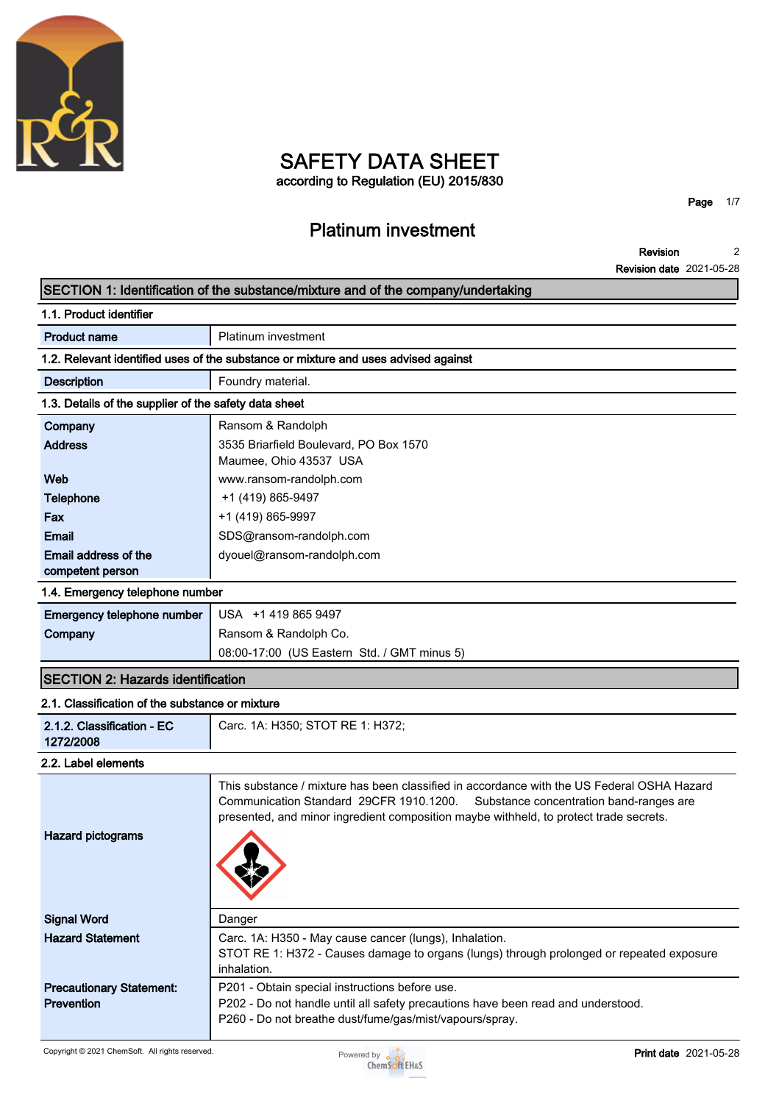

### **SAFETY DATA SHEET according to Regulation (EU) 2015/830**

**Platinum investment**

**Page 1/7**

**Revision Revision date 2021-05-28 2**

### **SECTION 1: Identification of the substance/mixture and of the company/undertaking**

| 1.1. Product identifier                               |                                                                                                                                                                                                                                                                           |  |  |  |
|-------------------------------------------------------|---------------------------------------------------------------------------------------------------------------------------------------------------------------------------------------------------------------------------------------------------------------------------|--|--|--|
| <b>Product name</b>                                   | Platinum investment                                                                                                                                                                                                                                                       |  |  |  |
|                                                       | 1.2. Relevant identified uses of the substance or mixture and uses advised against                                                                                                                                                                                        |  |  |  |
| <b>Description</b>                                    | Foundry material.                                                                                                                                                                                                                                                         |  |  |  |
| 1.3. Details of the supplier of the safety data sheet |                                                                                                                                                                                                                                                                           |  |  |  |
| Company                                               | Ransom & Randolph                                                                                                                                                                                                                                                         |  |  |  |
| <b>Address</b>                                        | 3535 Briarfield Boulevard, PO Box 1570<br>Maumee, Ohio 43537 USA                                                                                                                                                                                                          |  |  |  |
| Web                                                   | www.ransom-randolph.com                                                                                                                                                                                                                                                   |  |  |  |
| <b>Telephone</b>                                      | +1 (419) 865-9497                                                                                                                                                                                                                                                         |  |  |  |
| Fax                                                   | +1 (419) 865-9997                                                                                                                                                                                                                                                         |  |  |  |
| <b>Email</b>                                          | SDS@ransom-randolph.com                                                                                                                                                                                                                                                   |  |  |  |
| Email address of the<br>competent person              | dyouel@ransom-randolph.com                                                                                                                                                                                                                                                |  |  |  |
| 1.4. Emergency telephone number                       |                                                                                                                                                                                                                                                                           |  |  |  |
| Emergency telephone number                            | USA +1 419 865 9497                                                                                                                                                                                                                                                       |  |  |  |
| Company                                               | Ransom & Randolph Co.                                                                                                                                                                                                                                                     |  |  |  |
|                                                       | 08:00-17:00 (US Eastern Std. / GMT minus 5)                                                                                                                                                                                                                               |  |  |  |
| <b>SECTION 2: Hazards identification</b>              |                                                                                                                                                                                                                                                                           |  |  |  |
| 2.1. Classification of the substance or mixture       |                                                                                                                                                                                                                                                                           |  |  |  |
| 2.1.2. Classification - EC<br>1272/2008               | Carc. 1A: H350; STOT RE 1: H372;                                                                                                                                                                                                                                          |  |  |  |
| 2.2. Label elements                                   |                                                                                                                                                                                                                                                                           |  |  |  |
| <b>Hazard pictograms</b>                              | This substance / mixture has been classified in accordance with the US Federal OSHA Hazard<br>Communication Standard 29CFR 1910.1200.<br>Substance concentration band-ranges are<br>presented, and minor ingredient composition maybe withheld, to protect trade secrets. |  |  |  |
| <b>Signal Word</b>                                    | Danger                                                                                                                                                                                                                                                                    |  |  |  |
| <b>Hazard Statement</b>                               | Carc. 1A: H350 - May cause cancer (lungs), Inhalation.                                                                                                                                                                                                                    |  |  |  |
|                                                       | STOT RE 1: H372 - Causes damage to organs (lungs) through prolonged or repeated exposure<br>inhalation.                                                                                                                                                                   |  |  |  |
| <b>Precautionary Statement:</b>                       | P201 - Obtain special instructions before use.                                                                                                                                                                                                                            |  |  |  |
| Prevention                                            | P202 - Do not handle until all safety precautions have been read and understood.                                                                                                                                                                                          |  |  |  |

**P260 - Do not breathe dust/fume/gas/mist/vapours/spray.**

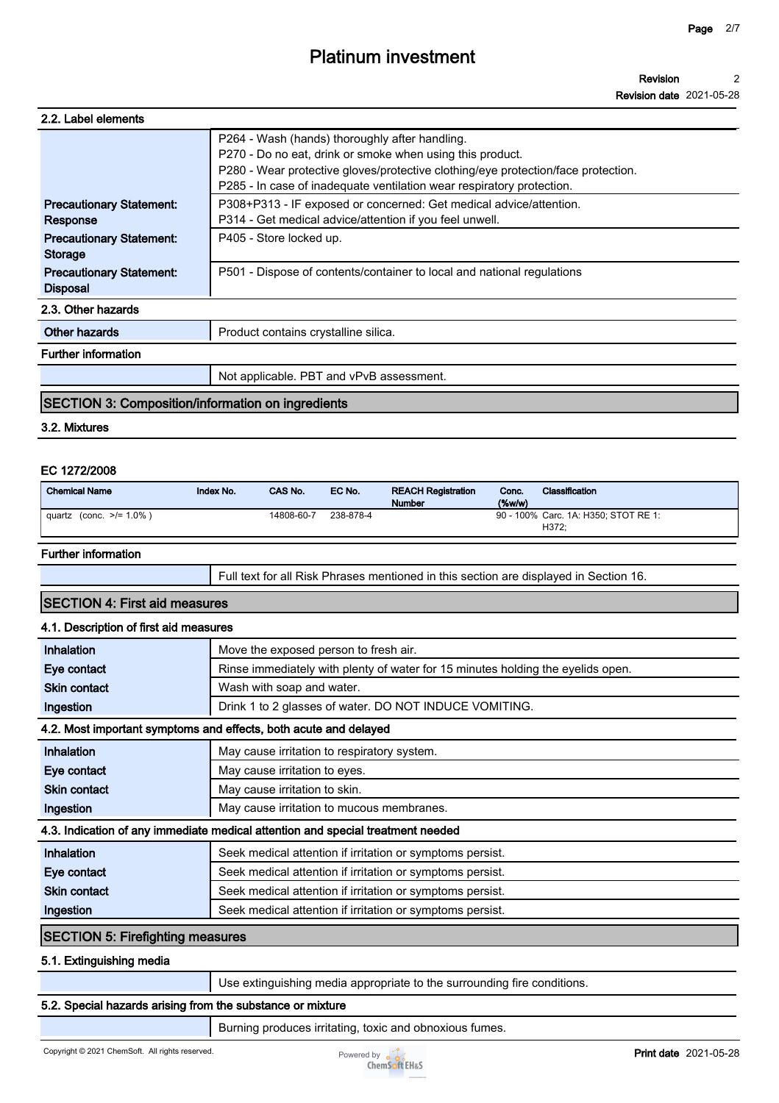| 2.2. Label elements                                |                                                                                                                                                                                                                                                                           |
|----------------------------------------------------|---------------------------------------------------------------------------------------------------------------------------------------------------------------------------------------------------------------------------------------------------------------------------|
|                                                    | P264 - Wash (hands) thoroughly after handling.<br>P270 - Do no eat, drink or smoke when using this product.<br>P280 - Wear protective gloves/protective clothing/eye protection/face protection.<br>P285 - In case of inadequate ventilation wear respiratory protection. |
| <b>Precautionary Statement:</b><br>Response        | P308+P313 - IF exposed or concerned: Get medical advice/attention.<br>P314 - Get medical advice/attention if you feel unwell.                                                                                                                                             |
| <b>Precautionary Statement:</b><br><b>Storage</b>  | P405 - Store locked up.                                                                                                                                                                                                                                                   |
| <b>Precautionary Statement:</b><br><b>Disposal</b> | P501 - Dispose of contents/container to local and national regulations                                                                                                                                                                                                    |
| 2.3. Other hazards                                 |                                                                                                                                                                                                                                                                           |
| Other hazards                                      | Product contains crystalline silica.                                                                                                                                                                                                                                      |
| <b>Further information</b>                         |                                                                                                                                                                                                                                                                           |
|                                                    | Not applicable. PBT and vPvB assessment.                                                                                                                                                                                                                                  |

### **SECTION 3: Composition/information on ingredients**

### **3.2. Mixtures**

### **EC 1272/2008**

| <b>Chemical Name</b>        | Index No. | CAS No.    | EC No.    | <b>REACH Registration</b><br><b>Number</b> | Conc.<br>%w/w | <b>Classification</b>                |
|-----------------------------|-----------|------------|-----------|--------------------------------------------|---------------|--------------------------------------|
| (conc. >/= 1.0% )<br>quartz |           | 14808-60-7 | 238-878-4 |                                            |               | 90 - 100% Carc. 1A: H350; STOT RE 1: |
|                             |           |            |           |                                            |               | H372:                                |

#### **Further information**

**Full text for all Risk Phrases mentioned in this section are displayed in Section 16.**

### **SECTION 4: First aid measures**

### **4.1. Description of first aid measures**

| Inhalation                          | Move the exposed person to fresh air.                                           |  |  |
|-------------------------------------|---------------------------------------------------------------------------------|--|--|
| Eye contact                         | Rinse immediately with plenty of water for 15 minutes holding the eyelids open. |  |  |
| <b>Skin contact</b>                 | Wash with soap and water.                                                       |  |  |
| Ingestion                           | Drink 1 to 2 glasses of water. DO NOT INDUCE VOMITING.                          |  |  |
|                                     | 4.2. Most important symptoms and effects, both acute and delayed                |  |  |
| Inhalation                          | May cause irritation to respiratory system.                                     |  |  |
| Eye contact                         | May cause irritation to eyes.                                                   |  |  |
| <b>Skin contact</b>                 | May cause irritation to skin.                                                   |  |  |
| Ingestion                           | May cause irritation to mucous membranes.                                       |  |  |
|                                     | 4.3. Indication of any immediate medical attention and special treatment needed |  |  |
| Inhalation                          | Seek medical attention if irritation or symptoms persist.                       |  |  |
| Eye contact                         | Seek medical attention if irritation or symptoms persist.                       |  |  |
| <b>Skin contact</b>                 | Seek medical attention if irritation or symptoms persist.                       |  |  |
| Ingestion                           | Seek medical attention if irritation or symptoms persist.                       |  |  |
| $C$ EOTIONI E: Eisefielding maaalus |                                                                                 |  |  |

### **SECTION 5: Firefighting measures**

**5.1. Extinguishing media**

**Use extinguishing media appropriate to the surrounding fire conditions.**

### **5.2. Special hazards arising from the substance or mixture**

**Burning produces irritating, toxic and obnoxious fumes.**

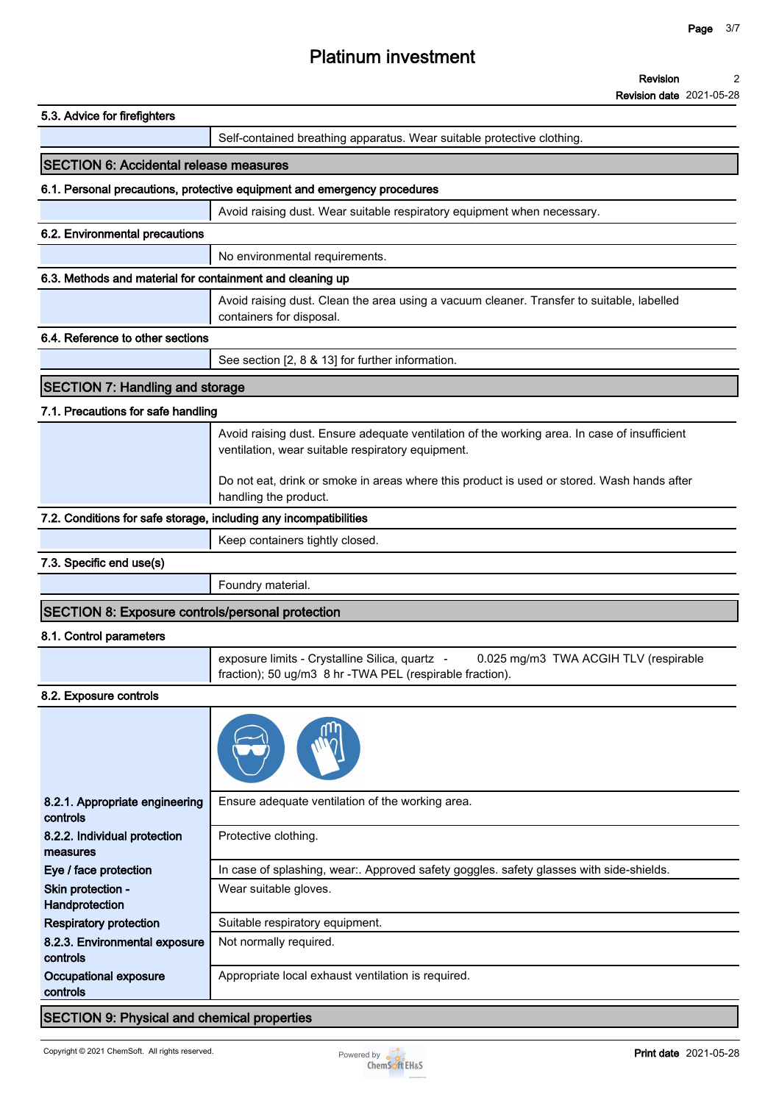|                                                                   | <b>Revision date 2021-05-28</b>                                                                                                                   |
|-------------------------------------------------------------------|---------------------------------------------------------------------------------------------------------------------------------------------------|
| 5.3. Advice for firefighters                                      |                                                                                                                                                   |
|                                                                   | Self-contained breathing apparatus. Wear suitable protective clothing.                                                                            |
| <b>SECTION 6: Accidental release measures</b>                     |                                                                                                                                                   |
|                                                                   | 6.1. Personal precautions, protective equipment and emergency procedures                                                                          |
|                                                                   | Avoid raising dust. Wear suitable respiratory equipment when necessary.                                                                           |
| 6.2. Environmental precautions                                    |                                                                                                                                                   |
|                                                                   | No environmental requirements.                                                                                                                    |
| 6.3. Methods and material for containment and cleaning up         |                                                                                                                                                   |
|                                                                   | Avoid raising dust. Clean the area using a vacuum cleaner. Transfer to suitable, labelled<br>containers for disposal.                             |
| 6.4. Reference to other sections                                  |                                                                                                                                                   |
|                                                                   | See section [2, 8 & 13] for further information.                                                                                                  |
| <b>SECTION 7: Handling and storage</b>                            |                                                                                                                                                   |
|                                                                   |                                                                                                                                                   |
| 7.1. Precautions for safe handling                                |                                                                                                                                                   |
|                                                                   | Avoid raising dust. Ensure adequate ventilation of the working area. In case of insufficient<br>ventilation, wear suitable respiratory equipment. |
|                                                                   | Do not eat, drink or smoke in areas where this product is used or stored. Wash hands after<br>handling the product.                               |
| 7.2. Conditions for safe storage, including any incompatibilities |                                                                                                                                                   |
|                                                                   | Keep containers tightly closed.                                                                                                                   |
| 7.3. Specific end use(s)                                          |                                                                                                                                                   |
|                                                                   | Foundry material.                                                                                                                                 |
| <b>SECTION 8: Exposure controls/personal protection</b>           |                                                                                                                                                   |
| 8.1. Control parameters                                           |                                                                                                                                                   |
|                                                                   | exposure limits - Crystalline Silica, quartz -<br>0.025 mg/m3 TWA ACGIH TLV (respirable                                                           |
|                                                                   | fraction); 50 ug/m3 8 hr -TWA PEL (respirable fraction).                                                                                          |
| 8.2. Exposure controls                                            |                                                                                                                                                   |
| 8.2.1. Appropriate engineering<br>controls                        | Ensure adequate ventilation of the working area.                                                                                                  |
| 8.2.2. Individual protection<br>measures                          | Protective clothing.                                                                                                                              |
| Eye / face protection                                             | In case of splashing, wear:. Approved safety goggles. safety glasses with side-shields.                                                           |
| Skin protection -<br>Handprotection                               | Wear suitable gloves.                                                                                                                             |
| <b>Respiratory protection</b>                                     | Suitable respiratory equipment.                                                                                                                   |
| 8.2.3. Environmental exposure<br>controls                         | Not normally required.                                                                                                                            |
| Occupational exposure<br>controls                                 | Appropriate local exhaust ventilation is required.                                                                                                |
|                                                                   |                                                                                                                                                   |

### **SECTION 9: Physical and chemical properties**

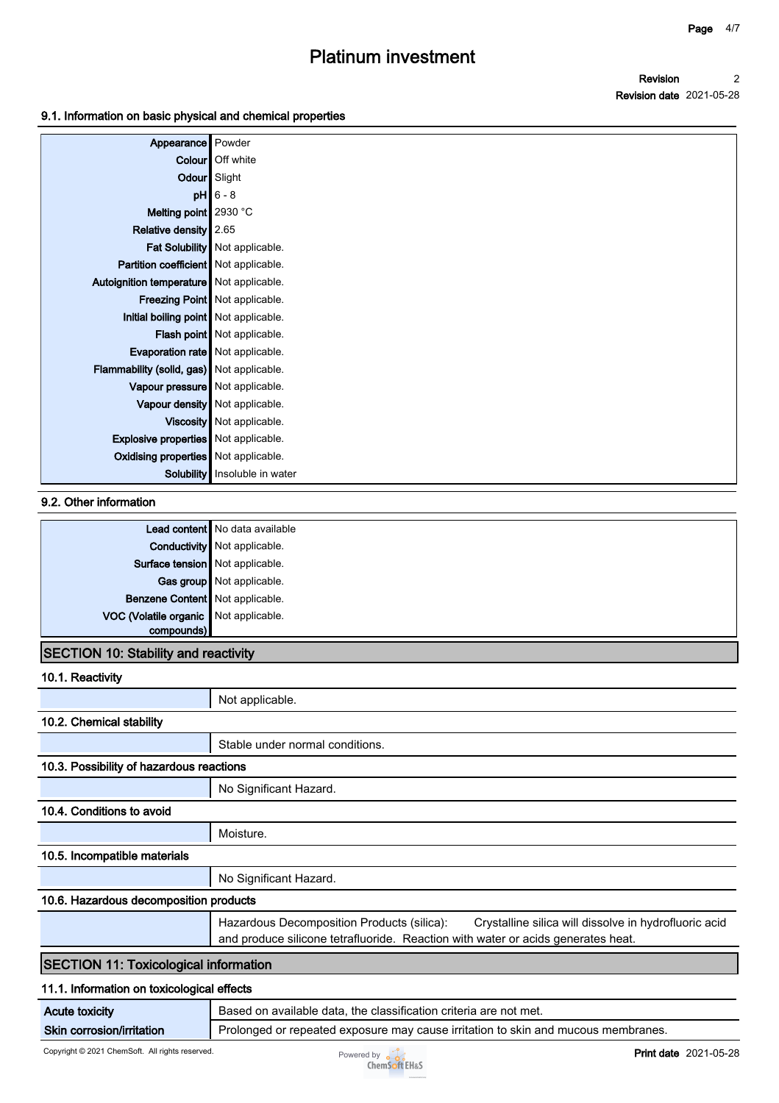**Revision Revision date 2021-05-28 2**

### **9.1. Information on basic physical and chemical properties**

| Appearance Powder<br><b>Colour</b> Off white |  |
|----------------------------------------------|--|
|                                              |  |
|                                              |  |
| Odour Slight                                 |  |
| $pH$ 6 - 8                                   |  |
| Melting point   2930 °C                      |  |
| Relative density 2.65                        |  |
| Fat Solubility   Not applicable.             |  |
| Partition coefficient   Not applicable.      |  |
| Autoignition temperature   Not applicable.   |  |
| Freezing Point   Not applicable.             |  |
| Initial boiling point   Not applicable.      |  |
| Flash point   Not applicable.                |  |
| Evaporation rate   Not applicable.           |  |
| Flammability (solid, gas) Not applicable.    |  |
| Vapour pressure   Not applicable.            |  |
| Vapour density   Not applicable.             |  |
| Viscosity Not applicable.                    |  |
| <b>Explosive properties</b> Not applicable.  |  |
| <b>Oxidising properties</b> Not applicable.  |  |
| Solubility   Insoluble in water              |  |

### **9.2. Other information**

|                                       | Lead content   No data available    |
|---------------------------------------|-------------------------------------|
|                                       | <b>Conductivity</b> Not applicable. |
| Surface tension Not applicable.       |                                     |
|                                       | Gas group   Not applicable.         |
| Benzene Content Not applicable.       |                                     |
| VOC (Volatile organic Not applicable. |                                     |
| compounds)                            |                                     |

### **SECTION 10: Stability and reactivity**

| 10.1. Reactivity                             |                                                                                                                                                                                         |  |  |
|----------------------------------------------|-----------------------------------------------------------------------------------------------------------------------------------------------------------------------------------------|--|--|
|                                              | Not applicable.                                                                                                                                                                         |  |  |
| 10.2. Chemical stability                     |                                                                                                                                                                                         |  |  |
|                                              | Stable under normal conditions.                                                                                                                                                         |  |  |
| 10.3. Possibility of hazardous reactions     |                                                                                                                                                                                         |  |  |
|                                              | No Significant Hazard.                                                                                                                                                                  |  |  |
| 10.4. Conditions to avoid                    |                                                                                                                                                                                         |  |  |
|                                              | Moisture.                                                                                                                                                                               |  |  |
| 10.5. Incompatible materials                 |                                                                                                                                                                                         |  |  |
|                                              | No Significant Hazard.                                                                                                                                                                  |  |  |
| 10.6. Hazardous decomposition products       |                                                                                                                                                                                         |  |  |
|                                              | Hazardous Decomposition Products (silica):<br>Crystalline silica will dissolve in hydrofluoric acid<br>and produce silicone tetrafluoride. Reaction with water or acids generates heat. |  |  |
| <b>SECTION 11: Toxicological information</b> |                                                                                                                                                                                         |  |  |
| 11.1. Information on toxicological effects   |                                                                                                                                                                                         |  |  |
| <b>Acute toxicity</b>                        | Based on available data, the classification criteria are not met.                                                                                                                       |  |  |

### **Skin corrosion/irritation Prolonged or repeated exposure may cause irritation to skin and mucous membranes.**

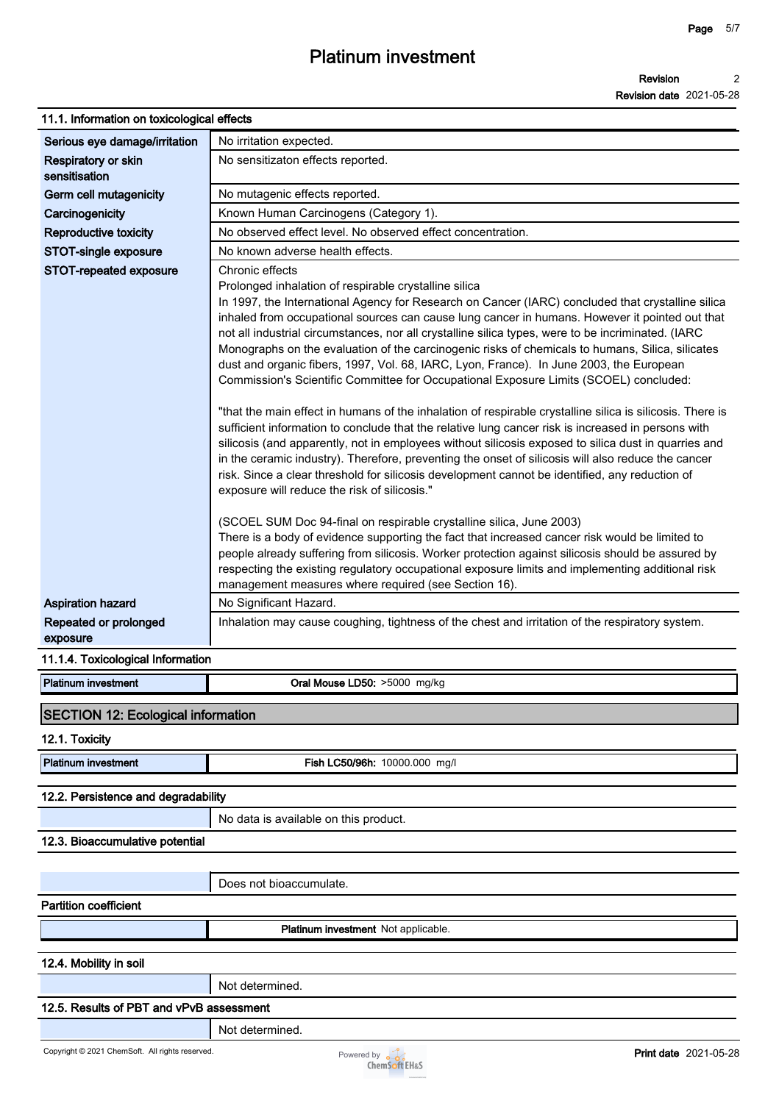#### **Page 5/7**

## **Platinum investment**

### **11.1. Information on toxicological effects**

| ו ו.ו. ווווטוווומווטוו טוו וטגוטטוטטוטמו <del>כ</del> ווכטג   |                                                                                                                                                                                                                                                                                                                                                                                                                                                                                                                                                                                                                                                                                                                                                                                                                                                                                                                                                                                                                                                                                                                                                                                                                                                                                                                                                                                                                                                                                                                                                                                                                                                     |  |  |  |  |
|---------------------------------------------------------------|-----------------------------------------------------------------------------------------------------------------------------------------------------------------------------------------------------------------------------------------------------------------------------------------------------------------------------------------------------------------------------------------------------------------------------------------------------------------------------------------------------------------------------------------------------------------------------------------------------------------------------------------------------------------------------------------------------------------------------------------------------------------------------------------------------------------------------------------------------------------------------------------------------------------------------------------------------------------------------------------------------------------------------------------------------------------------------------------------------------------------------------------------------------------------------------------------------------------------------------------------------------------------------------------------------------------------------------------------------------------------------------------------------------------------------------------------------------------------------------------------------------------------------------------------------------------------------------------------------------------------------------------------------|--|--|--|--|
| Serious eye damage/irritation                                 | No irritation expected.                                                                                                                                                                                                                                                                                                                                                                                                                                                                                                                                                                                                                                                                                                                                                                                                                                                                                                                                                                                                                                                                                                                                                                                                                                                                                                                                                                                                                                                                                                                                                                                                                             |  |  |  |  |
| Respiratory or skin<br>sensitisation                          | No sensitizaton effects reported.                                                                                                                                                                                                                                                                                                                                                                                                                                                                                                                                                                                                                                                                                                                                                                                                                                                                                                                                                                                                                                                                                                                                                                                                                                                                                                                                                                                                                                                                                                                                                                                                                   |  |  |  |  |
| Germ cell mutagenicity                                        | No mutagenic effects reported.                                                                                                                                                                                                                                                                                                                                                                                                                                                                                                                                                                                                                                                                                                                                                                                                                                                                                                                                                                                                                                                                                                                                                                                                                                                                                                                                                                                                                                                                                                                                                                                                                      |  |  |  |  |
| Carcinogenicity                                               | Known Human Carcinogens (Category 1).                                                                                                                                                                                                                                                                                                                                                                                                                                                                                                                                                                                                                                                                                                                                                                                                                                                                                                                                                                                                                                                                                                                                                                                                                                                                                                                                                                                                                                                                                                                                                                                                               |  |  |  |  |
| Reproductive toxicity                                         | No observed effect level. No observed effect concentration.                                                                                                                                                                                                                                                                                                                                                                                                                                                                                                                                                                                                                                                                                                                                                                                                                                                                                                                                                                                                                                                                                                                                                                                                                                                                                                                                                                                                                                                                                                                                                                                         |  |  |  |  |
| <b>STOT-single exposure</b>                                   | No known adverse health effects.                                                                                                                                                                                                                                                                                                                                                                                                                                                                                                                                                                                                                                                                                                                                                                                                                                                                                                                                                                                                                                                                                                                                                                                                                                                                                                                                                                                                                                                                                                                                                                                                                    |  |  |  |  |
| STOT-repeated exposure                                        | Chronic effects<br>Prolonged inhalation of respirable crystalline silica<br>In 1997, the International Agency for Research on Cancer (IARC) concluded that crystalline silica<br>inhaled from occupational sources can cause lung cancer in humans. However it pointed out that<br>not all industrial circumstances, nor all crystalline silica types, were to be incriminated. (IARC<br>Monographs on the evaluation of the carcinogenic risks of chemicals to humans, Silica, silicates<br>dust and organic fibers, 1997, Vol. 68, IARC, Lyon, France). In June 2003, the European<br>Commission's Scientific Committee for Occupational Exposure Limits (SCOEL) concluded:<br>"that the main effect in humans of the inhalation of respirable crystalline silica is silicosis. There is<br>sufficient information to conclude that the relative lung cancer risk is increased in persons with<br>silicosis (and apparently, not in employees without silicosis exposed to silica dust in quarries and<br>in the ceramic industry). Therefore, preventing the onset of silicosis will also reduce the cancer<br>risk. Since a clear threshold for silicosis development cannot be identified, any reduction of<br>exposure will reduce the risk of silicosis."<br>(SCOEL SUM Doc 94-final on respirable crystalline silica, June 2003)<br>There is a body of evidence supporting the fact that increased cancer risk would be limited to<br>people already suffering from silicosis. Worker protection against silicosis should be assured by<br>respecting the existing regulatory occupational exposure limits and implementing additional risk |  |  |  |  |
|                                                               | management measures where required (see Section 16).                                                                                                                                                                                                                                                                                                                                                                                                                                                                                                                                                                                                                                                                                                                                                                                                                                                                                                                                                                                                                                                                                                                                                                                                                                                                                                                                                                                                                                                                                                                                                                                                |  |  |  |  |
| <b>Aspiration hazard</b><br>Repeated or prolonged<br>exposure | No Significant Hazard.<br>Inhalation may cause coughing, tightness of the chest and irritation of the respiratory system.                                                                                                                                                                                                                                                                                                                                                                                                                                                                                                                                                                                                                                                                                                                                                                                                                                                                                                                                                                                                                                                                                                                                                                                                                                                                                                                                                                                                                                                                                                                           |  |  |  |  |
| 11.1.4. Toxicological Information                             |                                                                                                                                                                                                                                                                                                                                                                                                                                                                                                                                                                                                                                                                                                                                                                                                                                                                                                                                                                                                                                                                                                                                                                                                                                                                                                                                                                                                                                                                                                                                                                                                                                                     |  |  |  |  |
| <b>Platinum investment</b>                                    | Oral Mouse LD50: >5000 mg/kg                                                                                                                                                                                                                                                                                                                                                                                                                                                                                                                                                                                                                                                                                                                                                                                                                                                                                                                                                                                                                                                                                                                                                                                                                                                                                                                                                                                                                                                                                                                                                                                                                        |  |  |  |  |
| <b>SECTION 12: Ecological information</b><br>12.1. Toxicity   |                                                                                                                                                                                                                                                                                                                                                                                                                                                                                                                                                                                                                                                                                                                                                                                                                                                                                                                                                                                                                                                                                                                                                                                                                                                                                                                                                                                                                                                                                                                                                                                                                                                     |  |  |  |  |
| <b>Platinum investment</b>                                    | Fish LC50/96h: 10000.000 mg/l                                                                                                                                                                                                                                                                                                                                                                                                                                                                                                                                                                                                                                                                                                                                                                                                                                                                                                                                                                                                                                                                                                                                                                                                                                                                                                                                                                                                                                                                                                                                                                                                                       |  |  |  |  |
| 12.2. Persistence and degradability                           |                                                                                                                                                                                                                                                                                                                                                                                                                                                                                                                                                                                                                                                                                                                                                                                                                                                                                                                                                                                                                                                                                                                                                                                                                                                                                                                                                                                                                                                                                                                                                                                                                                                     |  |  |  |  |
|                                                               | No data is available on this product.                                                                                                                                                                                                                                                                                                                                                                                                                                                                                                                                                                                                                                                                                                                                                                                                                                                                                                                                                                                                                                                                                                                                                                                                                                                                                                                                                                                                                                                                                                                                                                                                               |  |  |  |  |
| 12.3. Bioaccumulative potential                               |                                                                                                                                                                                                                                                                                                                                                                                                                                                                                                                                                                                                                                                                                                                                                                                                                                                                                                                                                                                                                                                                                                                                                                                                                                                                                                                                                                                                                                                                                                                                                                                                                                                     |  |  |  |  |
|                                                               |                                                                                                                                                                                                                                                                                                                                                                                                                                                                                                                                                                                                                                                                                                                                                                                                                                                                                                                                                                                                                                                                                                                                                                                                                                                                                                                                                                                                                                                                                                                                                                                                                                                     |  |  |  |  |
|                                                               | Does not bioaccumulate.                                                                                                                                                                                                                                                                                                                                                                                                                                                                                                                                                                                                                                                                                                                                                                                                                                                                                                                                                                                                                                                                                                                                                                                                                                                                                                                                                                                                                                                                                                                                                                                                                             |  |  |  |  |
| <b>Partition coefficient</b>                                  |                                                                                                                                                                                                                                                                                                                                                                                                                                                                                                                                                                                                                                                                                                                                                                                                                                                                                                                                                                                                                                                                                                                                                                                                                                                                                                                                                                                                                                                                                                                                                                                                                                                     |  |  |  |  |
|                                                               | Platinum investment Not applicable.                                                                                                                                                                                                                                                                                                                                                                                                                                                                                                                                                                                                                                                                                                                                                                                                                                                                                                                                                                                                                                                                                                                                                                                                                                                                                                                                                                                                                                                                                                                                                                                                                 |  |  |  |  |
| 12.4. Mobility in soil                                        |                                                                                                                                                                                                                                                                                                                                                                                                                                                                                                                                                                                                                                                                                                                                                                                                                                                                                                                                                                                                                                                                                                                                                                                                                                                                                                                                                                                                                                                                                                                                                                                                                                                     |  |  |  |  |
|                                                               | Not determined.                                                                                                                                                                                                                                                                                                                                                                                                                                                                                                                                                                                                                                                                                                                                                                                                                                                                                                                                                                                                                                                                                                                                                                                                                                                                                                                                                                                                                                                                                                                                                                                                                                     |  |  |  |  |
| 12.5. Results of PBT and vPvB assessment                      |                                                                                                                                                                                                                                                                                                                                                                                                                                                                                                                                                                                                                                                                                                                                                                                                                                                                                                                                                                                                                                                                                                                                                                                                                                                                                                                                                                                                                                                                                                                                                                                                                                                     |  |  |  |  |
|                                                               |                                                                                                                                                                                                                                                                                                                                                                                                                                                                                                                                                                                                                                                                                                                                                                                                                                                                                                                                                                                                                                                                                                                                                                                                                                                                                                                                                                                                                                                                                                                                                                                                                                                     |  |  |  |  |
|                                                               | Not determined.                                                                                                                                                                                                                                                                                                                                                                                                                                                                                                                                                                                                                                                                                                                                                                                                                                                                                                                                                                                                                                                                                                                                                                                                                                                                                                                                                                                                                                                                                                                                                                                                                                     |  |  |  |  |

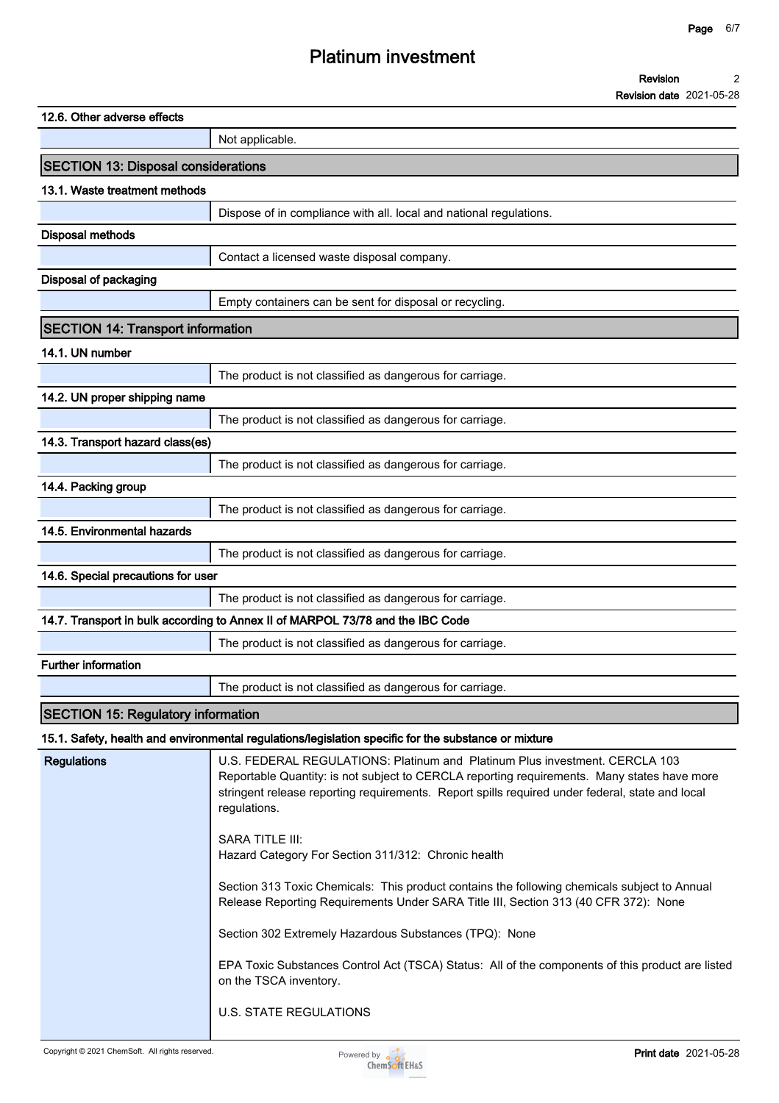| 12.6. Other adverse effects                |                                                                                                                                                                                                                                                                                                                                                                                                                                                                                                                                                                                                                                                                                                                                     |
|--------------------------------------------|-------------------------------------------------------------------------------------------------------------------------------------------------------------------------------------------------------------------------------------------------------------------------------------------------------------------------------------------------------------------------------------------------------------------------------------------------------------------------------------------------------------------------------------------------------------------------------------------------------------------------------------------------------------------------------------------------------------------------------------|
|                                            | Not applicable.                                                                                                                                                                                                                                                                                                                                                                                                                                                                                                                                                                                                                                                                                                                     |
| <b>SECTION 13: Disposal considerations</b> |                                                                                                                                                                                                                                                                                                                                                                                                                                                                                                                                                                                                                                                                                                                                     |
| 13.1. Waste treatment methods              |                                                                                                                                                                                                                                                                                                                                                                                                                                                                                                                                                                                                                                                                                                                                     |
|                                            | Dispose of in compliance with all. local and national regulations.                                                                                                                                                                                                                                                                                                                                                                                                                                                                                                                                                                                                                                                                  |
| <b>Disposal methods</b>                    |                                                                                                                                                                                                                                                                                                                                                                                                                                                                                                                                                                                                                                                                                                                                     |
|                                            | Contact a licensed waste disposal company.                                                                                                                                                                                                                                                                                                                                                                                                                                                                                                                                                                                                                                                                                          |
| Disposal of packaging                      |                                                                                                                                                                                                                                                                                                                                                                                                                                                                                                                                                                                                                                                                                                                                     |
|                                            | Empty containers can be sent for disposal or recycling.                                                                                                                                                                                                                                                                                                                                                                                                                                                                                                                                                                                                                                                                             |
| <b>SECTION 14: Transport information</b>   |                                                                                                                                                                                                                                                                                                                                                                                                                                                                                                                                                                                                                                                                                                                                     |
| 14.1. UN number                            |                                                                                                                                                                                                                                                                                                                                                                                                                                                                                                                                                                                                                                                                                                                                     |
|                                            | The product is not classified as dangerous for carriage.                                                                                                                                                                                                                                                                                                                                                                                                                                                                                                                                                                                                                                                                            |
| 14.2. UN proper shipping name              |                                                                                                                                                                                                                                                                                                                                                                                                                                                                                                                                                                                                                                                                                                                                     |
|                                            | The product is not classified as dangerous for carriage.                                                                                                                                                                                                                                                                                                                                                                                                                                                                                                                                                                                                                                                                            |
| 14.3. Transport hazard class(es)           |                                                                                                                                                                                                                                                                                                                                                                                                                                                                                                                                                                                                                                                                                                                                     |
|                                            | The product is not classified as dangerous for carriage.                                                                                                                                                                                                                                                                                                                                                                                                                                                                                                                                                                                                                                                                            |
| 14.4. Packing group                        |                                                                                                                                                                                                                                                                                                                                                                                                                                                                                                                                                                                                                                                                                                                                     |
|                                            | The product is not classified as dangerous for carriage.                                                                                                                                                                                                                                                                                                                                                                                                                                                                                                                                                                                                                                                                            |
| 14.5. Environmental hazards                |                                                                                                                                                                                                                                                                                                                                                                                                                                                                                                                                                                                                                                                                                                                                     |
|                                            | The product is not classified as dangerous for carriage.                                                                                                                                                                                                                                                                                                                                                                                                                                                                                                                                                                                                                                                                            |
| 14.6. Special precautions for user         |                                                                                                                                                                                                                                                                                                                                                                                                                                                                                                                                                                                                                                                                                                                                     |
|                                            | The product is not classified as dangerous for carriage.                                                                                                                                                                                                                                                                                                                                                                                                                                                                                                                                                                                                                                                                            |
|                                            | 14.7. Transport in bulk according to Annex II of MARPOL 73/78 and the IBC Code                                                                                                                                                                                                                                                                                                                                                                                                                                                                                                                                                                                                                                                      |
|                                            | The product is not classified as dangerous for carriage.                                                                                                                                                                                                                                                                                                                                                                                                                                                                                                                                                                                                                                                                            |
| <b>Further information</b>                 |                                                                                                                                                                                                                                                                                                                                                                                                                                                                                                                                                                                                                                                                                                                                     |
|                                            | The product is not classified as dangerous for carriage.                                                                                                                                                                                                                                                                                                                                                                                                                                                                                                                                                                                                                                                                            |
| <b>SECTION 15: Regulatory information</b>  |                                                                                                                                                                                                                                                                                                                                                                                                                                                                                                                                                                                                                                                                                                                                     |
|                                            | 15.1. Safety, health and environmental regulations/legislation specific for the substance or mixture                                                                                                                                                                                                                                                                                                                                                                                                                                                                                                                                                                                                                                |
| <b>Regulations</b>                         | U.S. FEDERAL REGULATIONS: Platinum and Platinum Plus investment. CERCLA 103<br>Reportable Quantity: is not subject to CERCLA reporting requirements. Many states have more<br>stringent release reporting requirements. Report spills required under federal, state and local<br>regulations.<br><b>SARA TITLE III:</b><br>Hazard Category For Section 311/312: Chronic health<br>Section 313 Toxic Chemicals: This product contains the following chemicals subject to Annual<br>Release Reporting Requirements Under SARA Title III, Section 313 (40 CFR 372): None<br>Section 302 Extremely Hazardous Substances (TPQ): None<br>EPA Toxic Substances Control Act (TSCA) Status: All of the components of this product are listed |
|                                            | on the TSCA inventory.<br><b>U.S. STATE REGULATIONS</b>                                                                                                                                                                                                                                                                                                                                                                                                                                                                                                                                                                                                                                                                             |